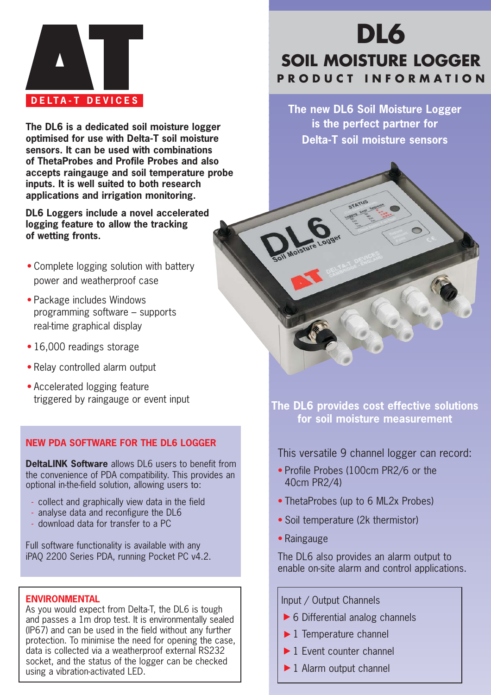

**The DL6 is a dedicated soil moisture logger optimised for use with Delta-T soil moisture sensors. It can be used with combinations of ThetaProbes and Profile Probes and also accepts raingauge and soil temperature probe inputs. It is well suited to both research applications and irrigation monitoring.**

**DL6 Loggers include a novel accelerated logging feature to allow the tracking of wetting fronts.**

- Complete logging solution with battery power and weatherproof case
- Package includes Windows programming software – supports real-time graphical display
- 16,000 readings storage
- Relay controlled alarm output
- Accelerated logging feature

### **NEW PDA SOFTWARE FOR THE DL6 LOGGER**

**DeltaLINK Software** allows DL6 users to benefit from the convenience of PDA compatibility. This provides an optional in-the-field solution, allowing users to:

- collect and graphically view data in the field
- analyse data and reconfigure the DL6
- download data for transfer to a PC

Full software functionality is available with any iPAQ 2200 Series PDA, running Pocket PC v4.2.

#### **ENVIRONMENTAL**

As you would expect from Delta-T, the DL6 is tough and passes a 1m drop test. It is environmentally sealed (IP67) and can be used in the field without any further protection. To minimise the need for opening the case, data is collected via a weatherproof external RS232 socket, and the status of the logger can be checked using a vibration-activated LED.

# **DL6 SOIL MOISTURE LOGGER PRODUCT INFORMATION**

**The new DL6 Soil Moisture Logger is the perfect partner for Delta-T soil moisture sensors**

triggered by raingauge or event input **The DL6 provides cost effective solutions for soil moisture measurement**

This versatile 9 channel logger can record:

- Profile Probes (100cm PR2/6 or the 40cm PR2/4)
- ThetaProbes (up to 6 ML2x Probes)
- Soil temperature (2k thermistor)
- Raingauge

The DL6 also provides an alarm output to enable on-site alarm and control applications.

Input / Output Channels

- ▶ 6 Differential analog channels
- $\blacktriangleright$  1 Temperature channel
- ▶ 1 Event counter channel
- $\blacktriangleright$  1 Alarm output channel